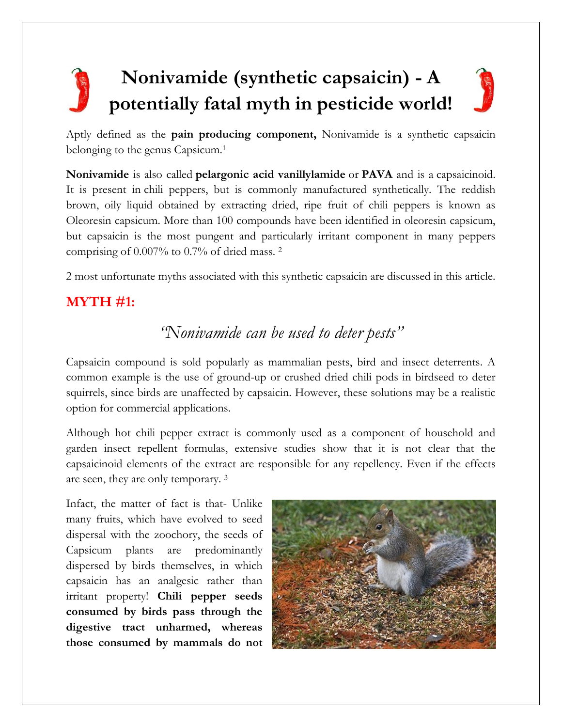# **Nonivamide (synthetic capsaicin) - A potentially fatal myth in pesticide world!**

Aptly defined as the **pain producing component,** Nonivamide is a synthetic capsaicin belonging to the genus Capsicum.<sup>1</sup>

**Nonivamide** is also called **pelargonic acid vanillylamide** or **PAVA** and is a capsaicinoid. It is present in chili peppers, but is commonly manufactured synthetically. The reddish brown, oily liquid obtained by extracting dried, ripe fruit of chili peppers is known as Oleoresin capsicum. More than 100 compounds have been identified in oleoresin capsicum, but capsaicin is the most pungent and particularly irritant component in many peppers comprising of 0.007% to 0.7% of dried mass. <sup>2</sup>

2 most unfortunate myths associated with this synthetic capsaicin are discussed in this article.

# **MYTH #1:**

# *"Nonivamide can be used to deter pests"*

Capsaicin compound is sold popularly as mammalian pests, bird and insect deterrents. A common example is the use of ground-up or crushed dried chili pods in birdseed to deter squirrels, since birds are unaffected by capsaicin. However, these solutions may be a realistic option for commercial applications.

Although hot chili pepper extract is commonly used as a component of household and garden insect repellent formulas, extensive studies show that it is not clear that the capsaicinoid elements of the extract are responsible for any repellency. Even if the effects are seen, they are only temporary. <sup>3</sup>

Infact, the matter of fact is that- Unlike many fruits, which have evolved to seed dispersal with the zoochory, the seeds of Capsicum plants are predominantly dispersed by birds themselves, in which capsaicin has an analgesic rather than irritant property! **Chili pepper seeds consumed by birds pass through the digestive tract unharmed, whereas those consumed by mammals do not** 

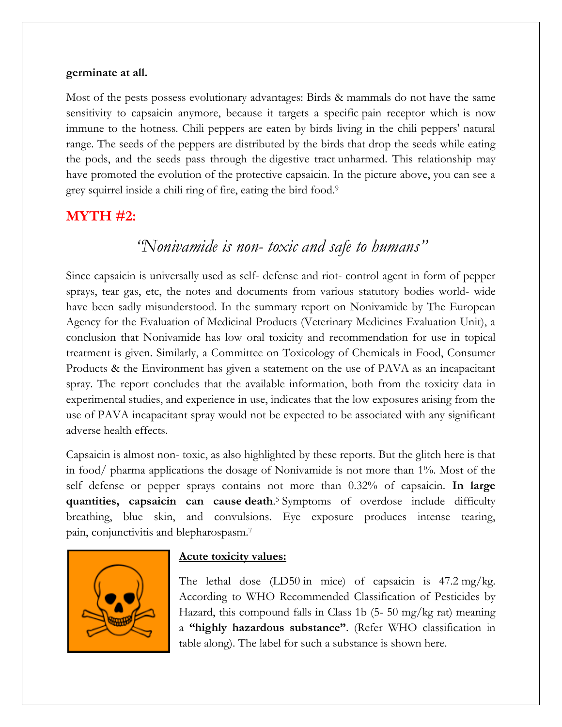#### **germinate at all.**

Most of the pests possess evolutionary advantages: Birds & mammals do not have the same sensitivity to capsaicin anymore, because it targets a specific pain receptor which is now immune to the hotness. Chili peppers are eaten by birds living in the chili peppers' natural range. The seeds of the peppers are distributed by the birds that drop the seeds while eating the pods, and the seeds pass through the digestive tract unharmed. This relationship may have promoted the evolution of the protective capsaicin. In the picture above, you can see a grey squirrel inside a chili ring of fire, eating the bird food. 9

### **MYTH #2:**

# *"Nonivamide is non- toxic and safe to humans"*

Since capsaicin is universally used as self- defense and riot- control agent in form of pepper sprays, tear gas, etc, the notes and documents from various statutory bodies world- wide have been sadly misunderstood. In the summary report on Nonivamide by The European Agency for the Evaluation of Medicinal Products (Veterinary Medicines Evaluation Unit), a conclusion that Nonivamide has low oral toxicity and recommendation for use in topical treatment is given. Similarly, a Committee on Toxicology of Chemicals in Food, Consumer Products & the Environment has given a statement on the use of PAVA as an incapacitant spray. The report concludes that the available information, both from the toxicity data in experimental studies, and experience in use, indicates that the low exposures arising from the use of PAVA incapacitant spray would not be expected to be associated with any significant adverse health effects.

Capsaicin is almost non- toxic, as also highlighted by these reports. But the glitch here is that in food/ pharma applications the dosage of Nonivamide is not more than 1%. Most of the self defense or pepper sprays contains not more than 0.32% of capsaicin. **In large quantities, capsaicin can cause death**. <sup>5</sup> Symptoms of overdose include difficulty breathing, blue skin, and convulsions. Eye exposure produces intense tearing, pain, conjunctivitis and blepharospasm.<sup>7</sup>



#### **Acute toxicity values:**

The lethal dose  $(LD50 \text{ in mice})$  of capsaicin is  $47.2 \text{ mg/kg}$ . According to WHO Recommended Classification of Pesticides by Hazard, this compound falls in Class 1b (5- 50 mg/kg rat) meaning a **"highly hazardous substance"**. (Refer WHO classification in table along). The label for such a substance is shown here.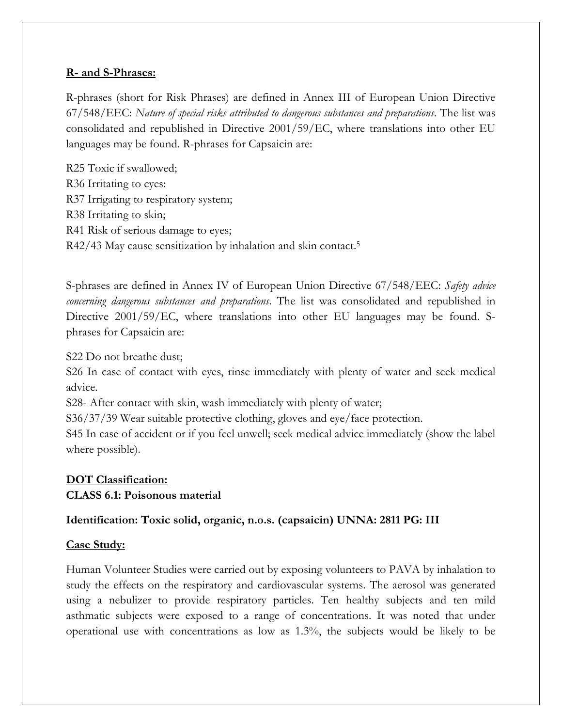#### **R- and S-Phrases:**

R-phrases (short for Risk Phrases) are defined in Annex III of European Union Directive 67/548/EEC: *Nature of special risks attributed to dangerous substances and preparations*. The list was consolidated and republished in Directive 2001/59/EC, where translations into other EU languages may be found. R-phrases for Capsaicin are:

R25 Toxic if swallowed; R36 Irritating to eyes: R37 Irrigating to respiratory system; R38 Irritating to skin; R41 Risk of serious damage to eyes; R42/43 May cause sensitization by inhalation and skin contact.<sup>5</sup>

S-phrases are defined in Annex IV of European Union Directive 67/548/EEC: *Safety advice concerning dangerous substances and preparations*. The list was consolidated and republished in Directive 2001/59/EC, where translations into other EU languages may be found. Sphrases for Capsaicin are:

S22 Do not breathe dust;

S26 In case of contact with eyes, rinse immediately with plenty of water and seek medical advice.

S28- After contact with skin, wash immediately with plenty of water;

S36/37/39 Wear suitable protective clothing, gloves and eye/face protection.

S45 In case of accident or if you feel unwell; seek medical advice immediately (show the label where possible).

### **DOT Classification:**

#### **CLASS 6.1: Poisonous material**

#### **Identification: Toxic solid, organic, n.o.s. (capsaicin) UNNA: 2811 PG: III**

#### **Case Study:**

Human Volunteer Studies were carried out by exposing volunteers to PAVA by inhalation to study the effects on the respiratory and cardiovascular systems. The aerosol was generated using a nebulizer to provide respiratory particles. Ten healthy subjects and ten mild asthmatic subjects were exposed to a range of concentrations. It was noted that under operational use with concentrations as low as 1.3%, the subjects would be likely to be